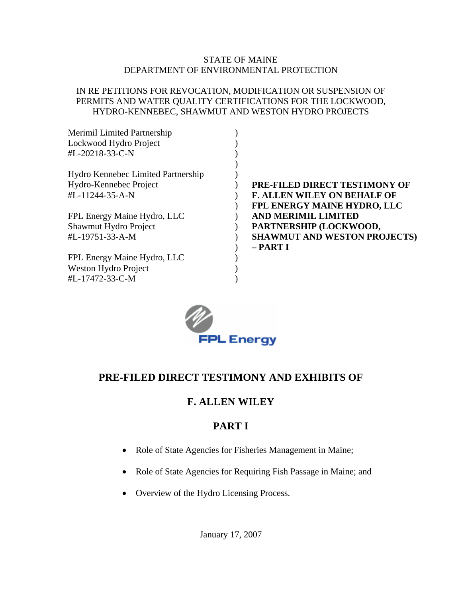# STATE OF MAINE DEPARTMENT OF ENVIRONMENTAL PROTECTION

# IN RE PETITIONS FOR REVOCATION, MODIFICATION OR SUSPENSION OF PERMITS AND WATER QUALITY CERTIFICATIONS FOR THE LOCKWOOD, HYDRO-KENNEBEC, SHAWMUT AND WESTON HYDRO PROJECTS

| <b>Merimil Limited Partnership</b> |                                      |
|------------------------------------|--------------------------------------|
| Lockwood Hydro Project             |                                      |
| #L-20218-33-C-N                    |                                      |
|                                    |                                      |
| Hydro Kennebec Limited Partnership |                                      |
| Hydro-Kennebec Project             | <b>PRE-FILED DIRECT TESTIMONY OF</b> |
| #L-11244-35-A-N                    | <b>F. ALLEN WILEY ON BEHALF OF</b>   |
|                                    | FPL ENERGY MAINE HYDRO, LLC          |
| FPL Energy Maine Hydro, LLC        | <b>AND MERIMIL LIMITED</b>           |
| Shawmut Hydro Project              | PARTNERSHIP (LOCKWOOD,               |
| #L-19751-33-A-M                    | <b>SHAWMUT AND WESTON PROJECTS)</b>  |
|                                    | - PART I                             |
| FPL Energy Maine Hydro, LLC        |                                      |
| Weston Hydro Project               |                                      |
| #L-17472-33-C-M                    |                                      |



# **PRE-FILED DIRECT TESTIMONY AND EXHIBITS OF**

# **F. ALLEN WILEY**

# **PART I**

- Role of State Agencies for Fisheries Management in Maine;
- Role of State Agencies for Requiring Fish Passage in Maine; and
- Overview of the Hydro Licensing Process.

January 17, 2007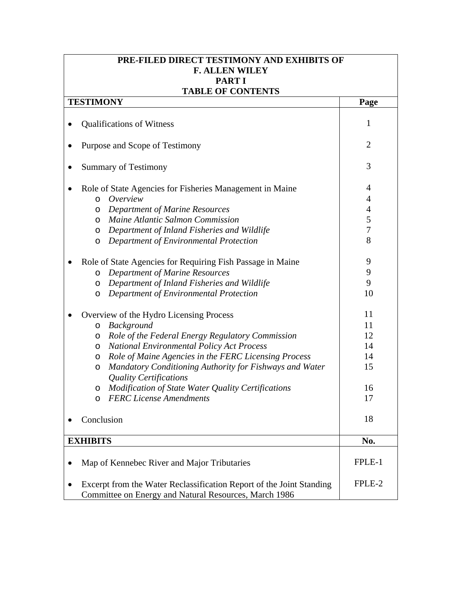| PRE-FILED DIRECT TESTIMONY AND EXHIBITS OF                                                                                    |                |  |
|-------------------------------------------------------------------------------------------------------------------------------|----------------|--|
| <b>F. ALLEN WILEY</b>                                                                                                         |                |  |
| <b>PART I</b>                                                                                                                 |                |  |
| <b>TABLE OF CONTENTS</b>                                                                                                      |                |  |
| <b>TESTIMONY</b>                                                                                                              | Page           |  |
| <b>Qualifications of Witness</b>                                                                                              | 1              |  |
| Purpose and Scope of Testimony                                                                                                | $\overline{2}$ |  |
| <b>Summary of Testimony</b>                                                                                                   | 3              |  |
| Role of State Agencies for Fisheries Management in Maine                                                                      | 4              |  |
| Overview<br>$\circ$                                                                                                           | $\overline{4}$ |  |
| <b>Department of Marine Resources</b><br>$\circ$                                                                              | $\overline{4}$ |  |
| Maine Atlantic Salmon Commission<br>$\circ$                                                                                   | 5              |  |
| Department of Inland Fisheries and Wildlife<br>$\circ$                                                                        | $\overline{7}$ |  |
| Department of Environmental Protection<br>$\circ$                                                                             | 8              |  |
| Role of State Agencies for Requiring Fish Passage in Maine                                                                    | 9              |  |
| <b>Department of Marine Resources</b><br>$\circ$                                                                              | 9              |  |
| Department of Inland Fisheries and Wildlife<br>$\circ$                                                                        | 9              |  |
| Department of Environmental Protection<br>$\circ$                                                                             | 10             |  |
| Overview of the Hydro Licensing Process                                                                                       | 11             |  |
| Background<br>$\circ$                                                                                                         | 11             |  |
| Role of the Federal Energy Regulatory Commission<br>$\circ$                                                                   | 12             |  |
| <b>National Environmental Policy Act Process</b><br>$\circ$                                                                   | 14             |  |
| Role of Maine Agencies in the FERC Licensing Process<br>$\circ$                                                               | 14             |  |
| Mandatory Conditioning Authority for Fishways and Water<br>$\circ$<br><b>Quality Certifications</b>                           | 15             |  |
| Modification of State Water Quality Certifications<br>$\circ$                                                                 | 16             |  |
| <b>FERC License Amendments</b><br>$\circ$                                                                                     | 17             |  |
| Conclusion                                                                                                                    | 18             |  |
| <b>EXHIBITS</b>                                                                                                               | No.            |  |
| Map of Kennebec River and Major Tributaries                                                                                   | FPLE-1         |  |
| Excerpt from the Water Reclassification Report of the Joint Standing<br>Committee on Energy and Natural Resources, March 1986 | FPLE-2         |  |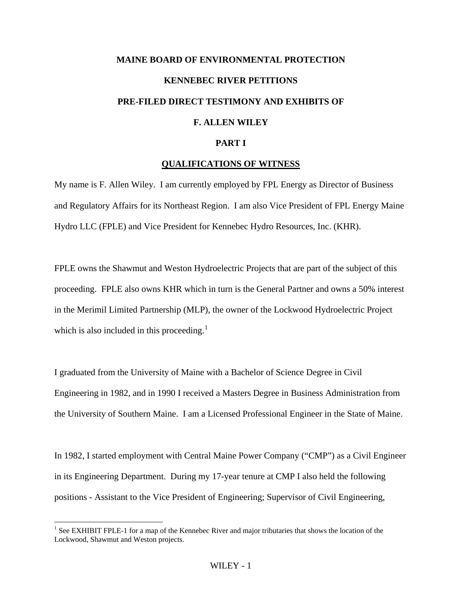# **MAINE BOARD OF ENVIRONMENTAL PROTECTION KENNEBEC RIVER PETITIONS PRE-FILED DIRECT TESTIMONY AND EXHIBITS OF F. ALLEN WILEY**

## **PART I**

#### **QUALIFICATIONS OF WITNESS**

My name is F. Allen Wiley. I am currently employed by FPL Energy as Director of Business and Regulatory Affairs for its Northeast Region. I am also Vice President of FPL Energy Maine Hydro LLC (FPLE) and Vice President for Kennebec Hydro Resources, Inc. (KHR).

FPLE owns the Shawmut and Weston Hydroelectric Projects that are part of the subject of this proceeding. FPLE also owns KHR which in turn is the General Partner and owns a 50% interest in the Merimil Limited Partnership (MLP), the owner of the Lockwood Hydroelectric Project which is also included in this proceeding. $<sup>1</sup>$  $<sup>1</sup>$  $<sup>1</sup>$ </sup>

I graduated from the University of Maine with a Bachelor of Science Degree in Civil Engineering in 1982, and in 1990 I received a Masters Degree in Business Administration from the University of Southern Maine. I am a Licensed Professional Engineer in the State of Maine.

In 1982, I started employment with Central Maine Power Company ("CMP") as a Civil Engineer in its Engineering Department. During my 17-year tenure at CMP I also held the following positions - Assistant to the Vice President of Engineering; Supervisor of Civil Engineering,

<span id="page-2-0"></span><sup>&</sup>lt;sup>1</sup> See EXHIBIT FPLE-1 for a map of the Kennebec River and major tributaries that shows the location of the Lockwood, Shawmut and Weston projects.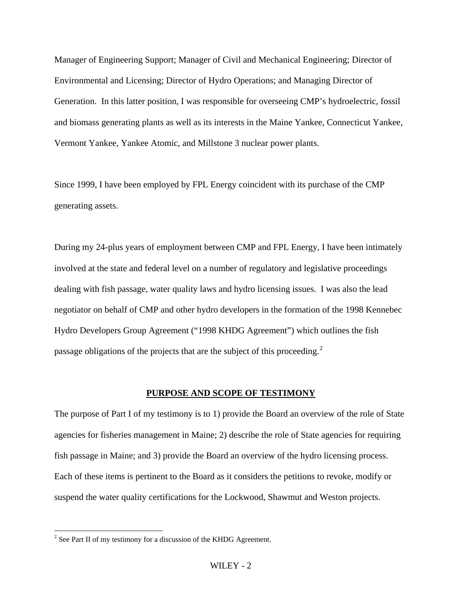Manager of Engineering Support; Manager of Civil and Mechanical Engineering; Director of Environmental and Licensing; Director of Hydro Operations; and Managing Director of Generation. In this latter position, I was responsible for overseeing CMP's hydroelectric, fossil and biomass generating plants as well as its interests in the Maine Yankee, Connecticut Yankee, Vermont Yankee, Yankee Atomic, and Millstone 3 nuclear power plants.

Since 1999, I have been employed by FPL Energy coincident with its purchase of the CMP generating assets.

During my 24-plus years of employment between CMP and FPL Energy, I have been intimately involved at the state and federal level on a number of regulatory and legislative proceedings dealing with fish passage, water quality laws and hydro licensing issues. I was also the lead negotiator on behalf of CMP and other hydro developers in the formation of the 1998 Kennebec Hydro Developers Group Agreement ("1998 KHDG Agreement") which outlines the fish passage obligations of the projects that are the subject of this proceeding.<sup>[2](#page-3-0)</sup>

#### **PURPOSE AND SCOPE OF TESTIMONY**

The purpose of Part I of my testimony is to 1) provide the Board an overview of the role of State agencies for fisheries management in Maine; 2) describe the role of State agencies for requiring fish passage in Maine; and 3) provide the Board an overview of the hydro licensing process. Each of these items is pertinent to the Board as it considers the petitions to revoke, modify or suspend the water quality certifications for the Lockwood, Shawmut and Weston projects.

 $\overline{a}$ 

<span id="page-3-0"></span><sup>&</sup>lt;sup>2</sup> See Part II of my testimony for a discussion of the KHDG Agreement.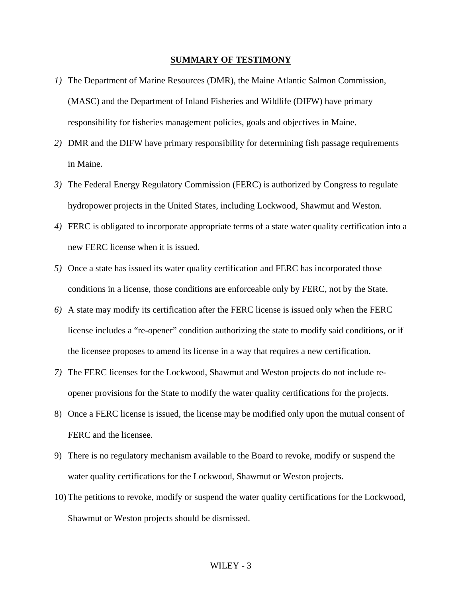#### **SUMMARY OF TESTIMONY**

- *1)* The Department of Marine Resources (DMR), the Maine Atlantic Salmon Commission, (MASC) and the Department of Inland Fisheries and Wildlife (DIFW) have primary responsibility for fisheries management policies, goals and objectives in Maine.
- *2)* DMR and the DIFW have primary responsibility for determining fish passage requirements in Maine.
- *3)* The Federal Energy Regulatory Commission (FERC) is authorized by Congress to regulate hydropower projects in the United States, including Lockwood, Shawmut and Weston.
- *4)* FERC is obligated to incorporate appropriate terms of a state water quality certification into a new FERC license when it is issued.
- *5)* Once a state has issued its water quality certification and FERC has incorporated those conditions in a license, those conditions are enforceable only by FERC, not by the State.
- *6)* A state may modify its certification after the FERC license is issued only when the FERC license includes a "re-opener" condition authorizing the state to modify said conditions, or if the licensee proposes to amend its license in a way that requires a new certification.
- *7)* The FERC licenses for the Lockwood, Shawmut and Weston projects do not include reopener provisions for the State to modify the water quality certifications for the projects.
- 8) Once a FERC license is issued, the license may be modified only upon the mutual consent of FERC and the licensee.
- 9) There is no regulatory mechanism available to the Board to revoke, modify or suspend the water quality certifications for the Lockwood, Shawmut or Weston projects.
- 10) The petitions to revoke, modify or suspend the water quality certifications for the Lockwood, Shawmut or Weston projects should be dismissed.

## WILEY - 3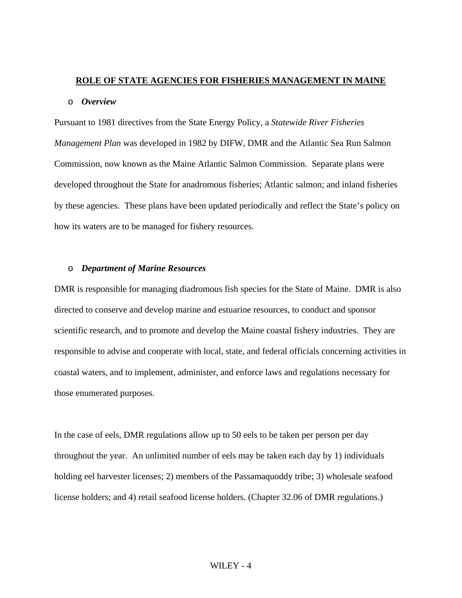#### **ROLE OF STATE AGENCIES FOR FISHERIES MANAGEMENT IN MAINE**

#### o *Overview*

Pursuant to 1981 directives from the State Energy Policy, a *Statewide River Fisheries Management Plan* was developed in 1982 by DIFW, DMR and the Atlantic Sea Run Salmon Commission, now known as the Maine Atlantic Salmon Commission. Separate plans were developed throughout the State for anadromous fisheries; Atlantic salmon; and inland fisheries by these agencies. These plans have been updated periodically and reflect the State's policy on how its waters are to be managed for fishery resources.

#### o *Department of Marine Resources*

DMR is responsible for managing diadromous fish species for the State of Maine. DMR is also directed to conserve and develop marine and estuarine resources, to conduct and sponsor scientific research, and to promote and develop the Maine coastal fishery industries. They are responsible to advise and cooperate with local, state, and federal officials concerning activities in coastal waters, and to implement, administer, and enforce laws and regulations necessary for those enumerated purposes.

In the case of eels, DMR regulations allow up to 50 eels to be taken per person per day throughout the year. An unlimited number of eels may be taken each day by 1) individuals holding eel harvester licenses; 2) members of the Passamaquoddy tribe; 3) wholesale seafood license holders; and 4) retail seafood license holders. (Chapter 32.06 of DMR regulations.)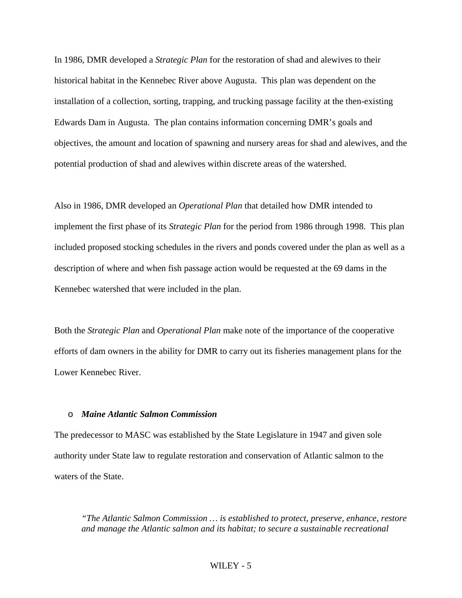In 1986, DMR developed a *Strategic Plan* for the restoration of shad and alewives to their historical habitat in the Kennebec River above Augusta. This plan was dependent on the installation of a collection, sorting, trapping, and trucking passage facility at the then-existing Edwards Dam in Augusta. The plan contains information concerning DMR's goals and objectives, the amount and location of spawning and nursery areas for shad and alewives, and the potential production of shad and alewives within discrete areas of the watershed.

Also in 1986, DMR developed an *Operational Plan* that detailed how DMR intended to implement the first phase of its *Strategic Plan* for the period from 1986 through 1998. This plan included proposed stocking schedules in the rivers and ponds covered under the plan as well as a description of where and when fish passage action would be requested at the 69 dams in the Kennebec watershed that were included in the plan.

Both the *Strategic Plan* and *Operational Plan* make note of the importance of the cooperative efforts of dam owners in the ability for DMR to carry out its fisheries management plans for the Lower Kennebec River.

#### o *Maine Atlantic Salmon Commission*

The predecessor to MASC was established by the State Legislature in 1947 and given sole authority under State law to regulate restoration and conservation of Atlantic salmon to the waters of the State.

*"The Atlantic Salmon Commission … is established to protect, preserve, enhance, restore and manage the Atlantic salmon and its habitat; to secure a sustainable recreational* 

## WILEY - 5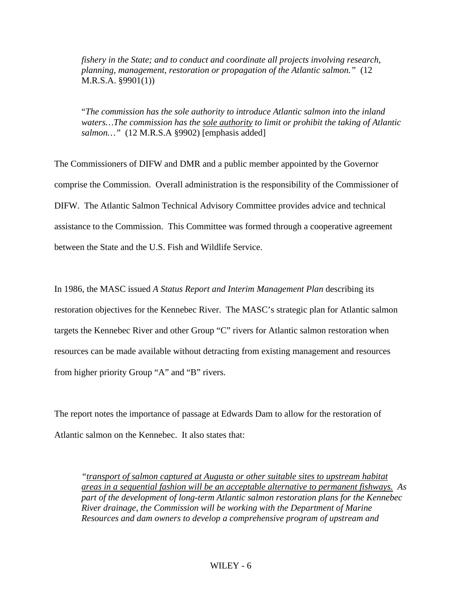*fishery in the State; and to conduct and coordinate all projects involving research, planning, management, restoration or propagation of the Atlantic salmon."* (12 M.R.S.A. §9901(1))

"*The commission has the sole authority to introduce Atlantic salmon into the inland waters…The commission has the sole authority to limit or prohibit the taking of Atlantic salmon…"* (12 M.R.S.A §9902) [emphasis added]

The Commissioners of DIFW and DMR and a public member appointed by the Governor comprise the Commission. Overall administration is the responsibility of the Commissioner of DIFW. The Atlantic Salmon Technical Advisory Committee provides advice and technical assistance to the Commission. This Committee was formed through a cooperative agreement between the State and the U.S. Fish and Wildlife Service.

In 1986, the MASC issued *A Status Report and Interim Management Plan* describing its restoration objectives for the Kennebec River. The MASC's strategic plan for Atlantic salmon targets the Kennebec River and other Group "C" rivers for Atlantic salmon restoration when resources can be made available without detracting from existing management and resources from higher priority Group "A" and "B" rivers.

The report notes the importance of passage at Edwards Dam to allow for the restoration of Atlantic salmon on the Kennebec. It also states that:

*"transport of salmon captured at Augusta or other suitable sites to upstream habitat areas in a sequential fashion will be an acceptable alternative to permanent fishways. As part of the development of long-term Atlantic salmon restoration plans for the Kennebec River drainage, the Commission will be working with the Department of Marine Resources and dam owners to develop a comprehensive program of upstream and*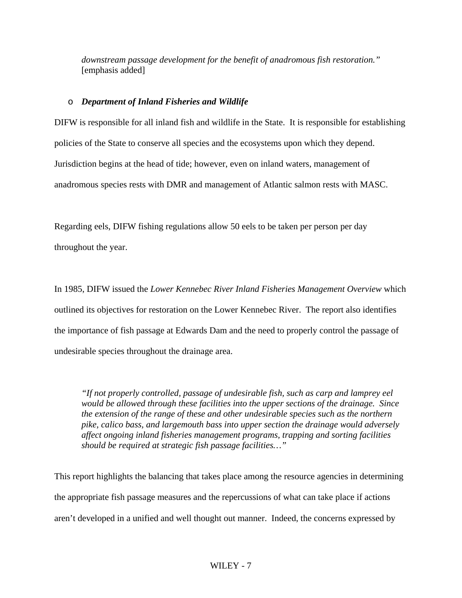*downstream passage development for the benefit of anadromous fish restoration."* [emphasis added]

# o *Department of Inland Fisheries and Wildlife*

DIFW is responsible for all inland fish and wildlife in the State. It is responsible for establishing policies of the State to conserve all species and the ecosystems upon which they depend. Jurisdiction begins at the head of tide; however, even on inland waters, management of anadromous species rests with DMR and management of Atlantic salmon rests with MASC.

Regarding eels, DIFW fishing regulations allow 50 eels to be taken per person per day throughout the year.

In 1985, DIFW issued the *Lower Kennebec River Inland Fisheries Management Overview* which outlined its objectives for restoration on the Lower Kennebec River. The report also identifies the importance of fish passage at Edwards Dam and the need to properly control the passage of undesirable species throughout the drainage area.

*"If not properly controlled, passage of undesirable fish, such as carp and lamprey eel would be allowed through these facilities into the upper sections of the drainage. Since the extension of the range of these and other undesirable species such as the northern pike, calico bass, and largemouth bass into upper section the drainage would adversely affect ongoing inland fisheries management programs, trapping and sorting facilities should be required at strategic fish passage facilities…"* 

This report highlights the balancing that takes place among the resource agencies in determining the appropriate fish passage measures and the repercussions of what can take place if actions aren't developed in a unified and well thought out manner. Indeed, the concerns expressed by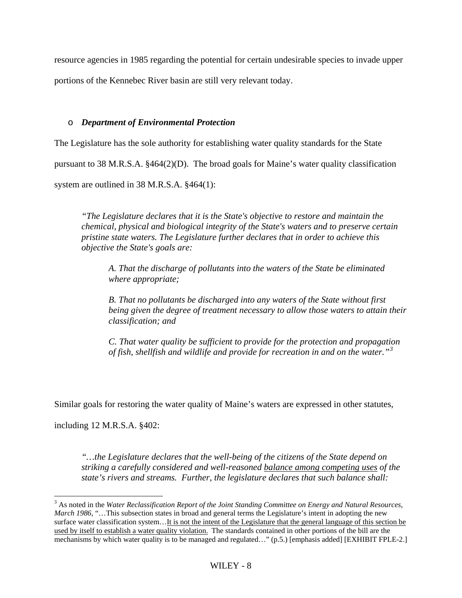resource agencies in 1985 regarding the potential for certain undesirable species to invade upper

portions of the Kennebec River basin are still very relevant today.

# o *Department of Environmental Protection*

The Legislature has the sole authority for establishing water quality standards for the State

pursuant to 38 M.R.S.A. §464(2)(D). The broad goals for Maine's water quality classification

system are outlined in 38 M.R.S.A. §464(1):

*"The Legislature declares that it is the State's objective to restore and maintain the chemical, physical and biological integrity of the State's waters and to preserve certain pristine state waters. The Legislature further declares that in order to achieve this objective the State's goals are:* 

*A. That the discharge of pollutants into the waters of the State be eliminated where appropriate;* 

*B. That no pollutants be discharged into any waters of the State without first being given the degree of treatment necessary to allow those waters to attain their classification; and* 

*C. That water quality be sufficient to provide for the protection and propagation of fish, shellfish and wildlife and provide for recreation in and on the water."[3](#page-9-0)*

Similar goals for restoring the water quality of Maine's waters are expressed in other statutes,

including 12 M.R.S.A. §402:

 $\overline{a}$ 

 *"…the Legislature declares that the well-being of the citizens of the State depend on striking a carefully considered and well-reasoned balance among competing uses of the state's rivers and streams. Further, the legislature declares that such balance shall:* 

<span id="page-9-0"></span><sup>&</sup>lt;sup>3</sup> As noted in the *Water Reclassification Report of the Joint Standing Committee on Energy and Natural Resources, March 1986*, "...This subsection states in broad and general terms the Legislature's intent in adopting the new surface water classification system…It is not the intent of the Legislature that the general language of this section be used by itself to establish a water quality violation. The standards contained in other portions of the bill are the mechanisms by which water quality is to be managed and regulated…" (p.5.) [emphasis added] [EXHIBIT FPLE-2.]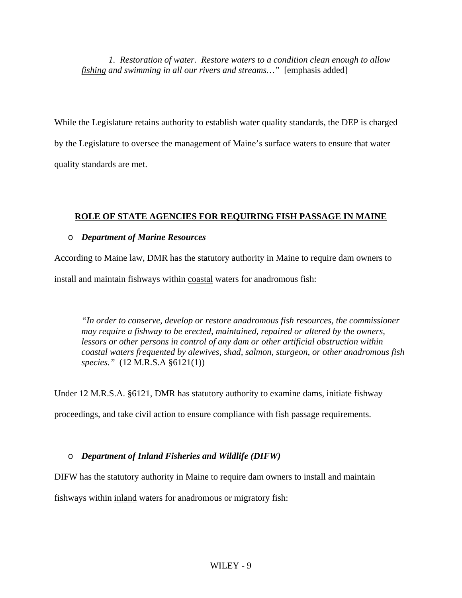*1. Restoration of water. Restore waters to a condition clean enough to allow fishing and swimming in all our rivers and streams…"* [emphasis added]

While the Legislature retains authority to establish water quality standards, the DEP is charged by the Legislature to oversee the management of Maine's surface waters to ensure that water quality standards are met.

# **ROLE OF STATE AGENCIES FOR REQUIRING FISH PASSAGE IN MAINE**

# o *Department of Marine Resources*

According to Maine law, DMR has the statutory authority in Maine to require dam owners to install and maintain fishways within coastal waters for anadromous fish:

*"In order to conserve, develop or restore anadromous fish resources, the commissioner may require a fishway to be erected, maintained, repaired or altered by the owners, lessors or other persons in control of any dam or other artificial obstruction within coastal waters frequented by alewives, shad, salmon, sturgeon, or other anadromous fish species."* (12 M.R.S.A §6121(1))

Under 12 M.R.S.A. §6121, DMR has statutory authority to examine dams, initiate fishway

proceedings, and take civil action to ensure compliance with fish passage requirements.

# o *Department of Inland Fisheries and Wildlife (DIFW)*

DIFW has the statutory authority in Maine to require dam owners to install and maintain

fishways within inland waters for anadromous or migratory fish: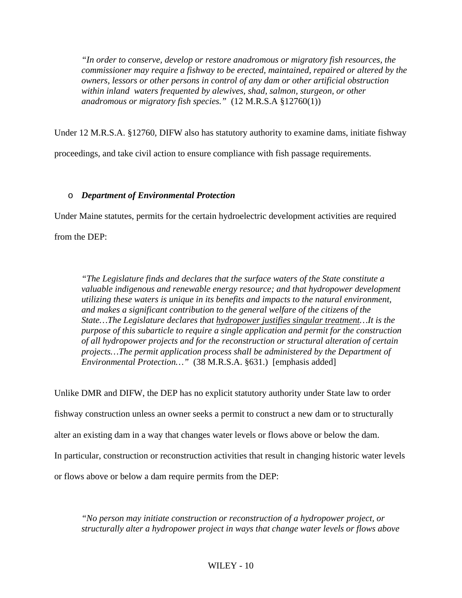*"In order to conserve, develop or restore anadromous or migratory fish resources, the commissioner may require a fishway to be erected, maintained, repaired or altered by the owners, lessors or other persons in control of any dam or other artificial obstruction within inland waters frequented by alewives, shad, salmon, sturgeon, or other anadromous or migratory fish species."* (12 M.R.S.A §12760(1))

Under 12 M.R.S.A. §12760, DIFW also has statutory authority to examine dams, initiate fishway

proceedings, and take civil action to ensure compliance with fish passage requirements.

## o *Department of Environmental Protection*

Under Maine statutes, permits for the certain hydroelectric development activities are required

from the DEP:

*"The Legislature finds and declares that the surface waters of the State constitute a valuable indigenous and renewable energy resource; and that hydropower development utilizing these waters is unique in its benefits and impacts to the natural environment, and makes a significant contribution to the general welfare of the citizens of the State…The Legislature declares that hydropower justifies singular treatment…It is the purpose of this subarticle to require a single application and permit for the construction of all hydropower projects and for the reconstruction or structural alteration of certain projects…The permit application process shall be administered by the Department of Environmental Protection…"* (38 M.R.S.A. §631.) [emphasis added]

Unlike DMR and DIFW, the DEP has no explicit statutory authority under State law to order

fishway construction unless an owner seeks a permit to construct a new dam or to structurally

alter an existing dam in a way that changes water levels or flows above or below the dam.

In particular, construction or reconstruction activities that result in changing historic water levels

or flows above or below a dam require permits from the DEP:

*"No person may initiate construction or reconstruction of a hydropower project, or structurally alter a hydropower project in ways that change water levels or flows above*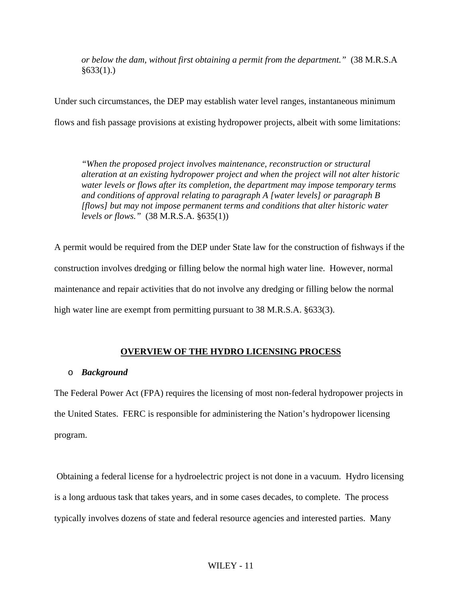*or below the dam, without first obtaining a permit from the department."* (38 M.R.S.A  $§633(1).$ 

Under such circumstances, the DEP may establish water level ranges, instantaneous minimum flows and fish passage provisions at existing hydropower projects, albeit with some limitations:

*"When the proposed project involves maintenance, reconstruction or structural alteration at an existing hydropower project and when the project will not alter historic water levels or flows after its completion, the department may impose temporary terms and conditions of approval relating to paragraph A [water levels] or paragraph B [flows] but may not impose permanent terms and conditions that alter historic water levels or flows."* (38 M.R.S.A. §635(1))

A permit would be required from the DEP under State law for the construction of fishways if the construction involves dredging or filling below the normal high water line. However, normal maintenance and repair activities that do not involve any dredging or filling below the normal high water line are exempt from permitting pursuant to 38 M.R.S.A. §633(3).

## **OVERVIEW OF THE HYDRO LICENSING PROCESS**

#### o *Background*

The Federal Power Act (FPA) requires the licensing of most non-federal hydropower projects in the United States. FERC is responsible for administering the Nation's hydropower licensing program.

 Obtaining a federal license for a hydroelectric project is not done in a vacuum. Hydro licensing is a long arduous task that takes years, and in some cases decades, to complete. The process typically involves dozens of state and federal resource agencies and interested parties. Many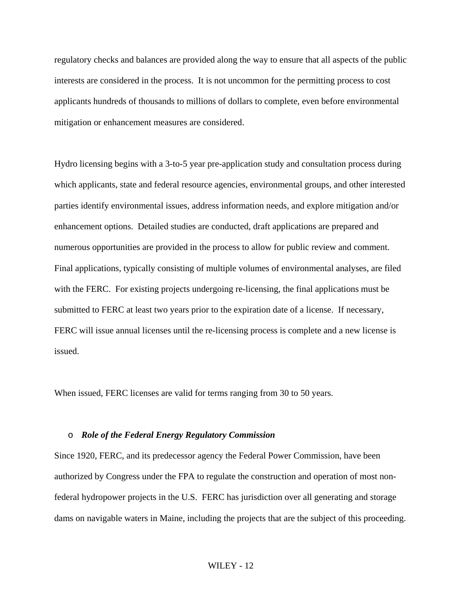regulatory checks and balances are provided along the way to ensure that all aspects of the public interests are considered in the process. It is not uncommon for the permitting process to cost applicants hundreds of thousands to millions of dollars to complete, even before environmental mitigation or enhancement measures are considered.

Hydro licensing begins with a 3-to-5 year pre-application study and consultation process during which applicants, state and federal resource agencies, environmental groups, and other interested parties identify environmental issues, address information needs, and explore mitigation and/or enhancement options. Detailed studies are conducted, draft applications are prepared and numerous opportunities are provided in the process to allow for public review and comment. Final applications, typically consisting of multiple volumes of environmental analyses, are filed with the FERC. For existing projects undergoing re-licensing, the final applications must be submitted to FERC at least two years prior to the expiration date of a license. If necessary, FERC will issue annual licenses until the re-licensing process is complete and a new license is issued.

When issued, FERC licenses are valid for terms ranging from 30 to 50 years.

#### o *Role of the Federal Energy Regulatory Commission*

Since 1920, FERC, and its predecessor agency the Federal Power Commission, have been authorized by Congress under the FPA to regulate the construction and operation of most nonfederal hydropower projects in the U.S. FERC has jurisdiction over all generating and storage dams on navigable waters in Maine, including the projects that are the subject of this proceeding.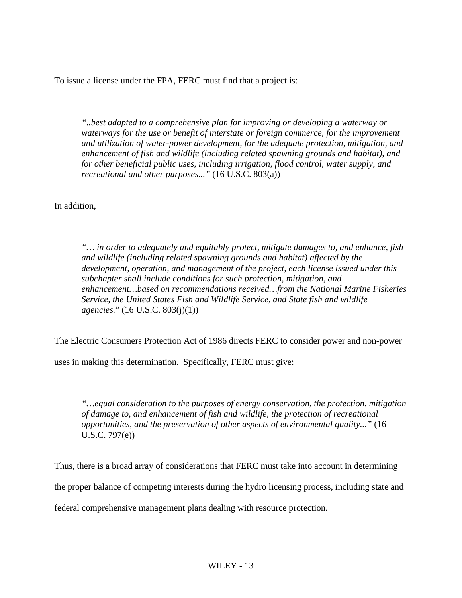To issue a license under the FPA, FERC must find that a project is:

*"..best adapted to a comprehensive plan for improving or developing a waterway or waterways for the use or benefit of interstate or foreign commerce, for the improvement and utilization of water-power development, for the adequate protection, mitigation, and enhancement of fish and wildlife (including related spawning grounds and habitat), and for other beneficial public uses, including irrigation, flood control, water supply, and recreational and other purposes..."* (16 U.S.C. 803(a))

In addition,

*"… in order to adequately and equitably protect, mitigate damages to, and enhance, fish and wildlife (including related spawning grounds and habitat) affected by the development, operation, and management of the project, each license issued under this subchapter shall include conditions for such protection, mitigation, and enhancement…based on recommendations received…from the National Marine Fisheries Service, the United States Fish and Wildlife Service, and State fish and wildlife agencies.*" (16 U.S.C. 803(j)(1))

The Electric Consumers Protection Act of 1986 directs FERC to consider power and non-power

uses in making this determination. Specifically, FERC must give:

*"…equal consideration to the purposes of energy conservation, the protection, mitigation of damage to, and enhancement of fish and wildlife, the protection of recreational opportunities, and the preservation of other aspects of environmental quality..."* (16 U.S.C. 797(e))

Thus, there is a broad array of considerations that FERC must take into account in determining the proper balance of competing interests during the hydro licensing process, including state and federal comprehensive management plans dealing with resource protection.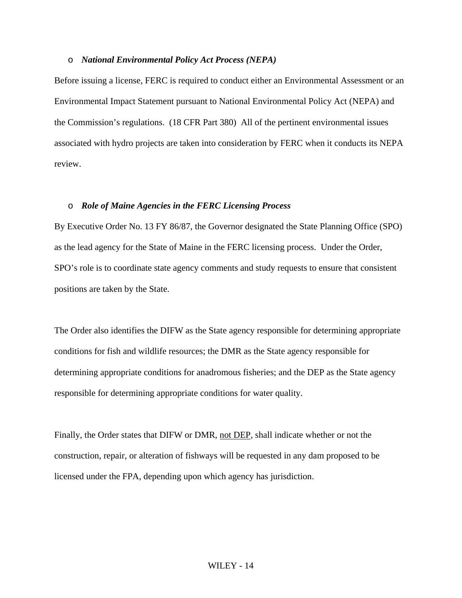#### o *National Environmental Policy Act Process (NEPA)*

Before issuing a license, FERC is required to conduct either an Environmental Assessment or an Environmental Impact Statement pursuant to National Environmental Policy Act (NEPA) and the Commission's regulations. (18 CFR Part 380) All of the pertinent environmental issues associated with hydro projects are taken into consideration by FERC when it conducts its NEPA review.

#### o *Role of Maine Agencies in the FERC Licensing Process*

By Executive Order No. 13 FY 86/87, the Governor designated the State Planning Office (SPO) as the lead agency for the State of Maine in the FERC licensing process. Under the Order, SPO's role is to coordinate state agency comments and study requests to ensure that consistent positions are taken by the State.

The Order also identifies the DIFW as the State agency responsible for determining appropriate conditions for fish and wildlife resources; the DMR as the State agency responsible for determining appropriate conditions for anadromous fisheries; and the DEP as the State agency responsible for determining appropriate conditions for water quality.

Finally, the Order states that DIFW or DMR, not DEP, shall indicate whether or not the construction, repair, or alteration of fishways will be requested in any dam proposed to be licensed under the FPA, depending upon which agency has jurisdiction.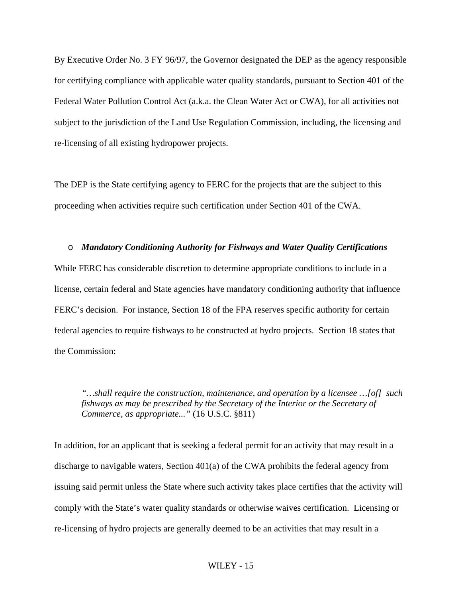By Executive Order No. 3 FY 96/97, the Governor designated the DEP as the agency responsible for certifying compliance with applicable water quality standards, pursuant to Section 401 of the Federal Water Pollution Control Act (a.k.a. the Clean Water Act or CWA), for all activities not subject to the jurisdiction of the Land Use Regulation Commission, including, the licensing and re-licensing of all existing hydropower projects.

The DEP is the State certifying agency to FERC for the projects that are the subject to this proceeding when activities require such certification under Section 401 of the CWA.

#### o *Mandatory Conditioning Authority for Fishways and Water Quality Certifications*

While FERC has considerable discretion to determine appropriate conditions to include in a license, certain federal and State agencies have mandatory conditioning authority that influence FERC's decision. For instance, Section 18 of the FPA reserves specific authority for certain federal agencies to require fishways to be constructed at hydro projects. Section 18 states that the Commission:

*"…shall require the construction, maintenance, and operation by a licensee …[of] such fishways as may be prescribed by the Secretary of the Interior or the Secretary of Commerce, as appropriate..."* (16 U.S.C. §811)

In addition, for an applicant that is seeking a federal permit for an activity that may result in a discharge to navigable waters, Section 401(a) of the CWA prohibits the federal agency from issuing said permit unless the State where such activity takes place certifies that the activity will comply with the State's water quality standards or otherwise waives certification. Licensing or re-licensing of hydro projects are generally deemed to be an activities that may result in a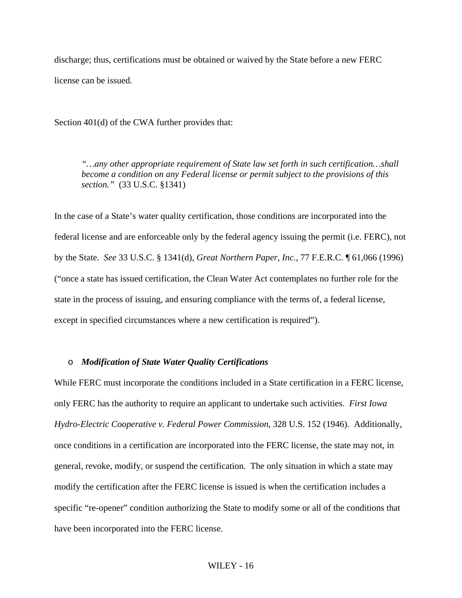discharge; thus, certifications must be obtained or waived by the State before a new FERC license can be issued.

Section 401(d) of the CWA further provides that:

*"…any other appropriate requirement of State law set forth in such certification…shall become a condition on any Federal license or permit subject to the provisions of this section."* (33 U.S.C. §1341)

In the case of a State's water quality certification, those conditions are incorporated into the federal license and are enforceable only by the federal agency issuing the permit (i.e. FERC), not by the State. *See* 33 U.S.C. § 1341(d), *Great Northern Paper, Inc.*, 77 F.E.R.C. ¶ 61,066 (1996) ("once a state has issued certification, the Clean Water Act contemplates no further role for the state in the process of issuing, and ensuring compliance with the terms of, a federal license, except in specified circumstances where a new certification is required").

#### o *Modification of State Water Quality Certifications*

While FERC must incorporate the conditions included in a State certification in a FERC license, only FERC has the authority to require an applicant to undertake such activities. *First Iowa Hydro-Electric Cooperative v. Federal Power Commission*, 328 U.S. 152 (1946). Additionally, once conditions in a certification are incorporated into the FERC license, the state may not, in general, revoke, modify, or suspend the certification. The only situation in which a state may modify the certification after the FERC license is issued is when the certification includes a specific "re-opener" condition authorizing the State to modify some or all of the conditions that have been incorporated into the FERC license.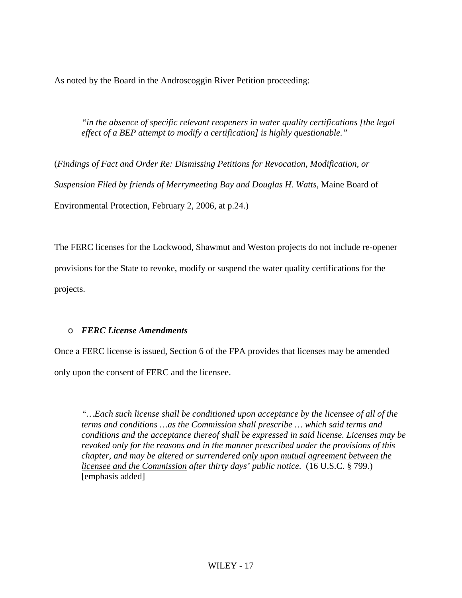As noted by the Board in the Androscoggin River Petition proceeding:

*"in the absence of specific relevant reopeners in water quality certifications [the legal effect of a BEP attempt to modify a certification] is highly questionable."*

(*Findings of Fact and Order Re: Dismissing Petitions for Revocation, Modification, or Suspension Filed by friends of Merrymeeting Bay and Douglas H. Watts*, Maine Board of Environmental Protection, February 2, 2006, at p.24.)

The FERC licenses for the Lockwood, Shawmut and Weston projects do not include re-opener provisions for the State to revoke, modify or suspend the water quality certifications for the projects.

# o *FERC License Amendments*

Once a FERC license is issued, Section 6 of the FPA provides that licenses may be amended only upon the consent of FERC and the licensee.

*"…Each such license shall be conditioned upon acceptance by the licensee of all of the terms and conditions …as the Commission shall prescribe … which said terms and conditions and the acceptance thereof shall be expressed in said license. Licenses may be revoked only for the reasons and in the manner prescribed under the provisions of this chapter, and may be altered or surrendered only upon mutual agreement between the licensee and the Commission after thirty days' public notice.* (16 U.S.C. § 799.) [emphasis added]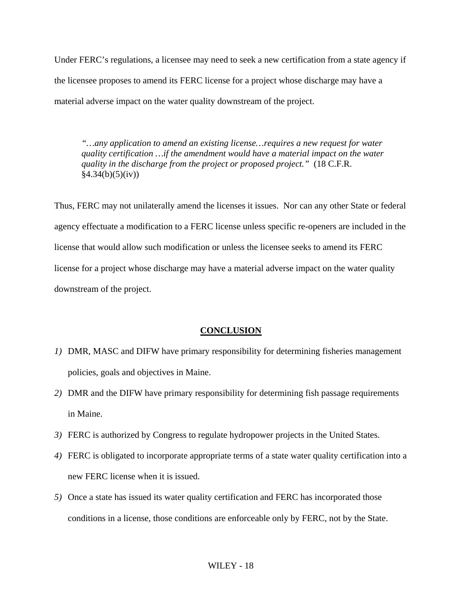Under FERC's regulations, a licensee may need to seek a new certification from a state agency if the licensee proposes to amend its FERC license for a project whose discharge may have a material adverse impact on the water quality downstream of the project.

*"…any application to amend an existing license…requires a new request for water quality certification …if the amendment would have a material impact on the water quality in the discharge from the project or proposed project."* (18 C.F.R.  $§4.34(b)(5)(iv))$ 

Thus, FERC may not unilaterally amend the licenses it issues. Nor can any other State or federal agency effectuate a modification to a FERC license unless specific re-openers are included in the license that would allow such modification or unless the licensee seeks to amend its FERC license for a project whose discharge may have a material adverse impact on the water quality downstream of the project.

## **CONCLUSION**

- *1)* DMR, MASC and DIFW have primary responsibility for determining fisheries management policies, goals and objectives in Maine.
- *2)* DMR and the DIFW have primary responsibility for determining fish passage requirements in Maine.
- *3)* FERC is authorized by Congress to regulate hydropower projects in the United States.
- *4)* FERC is obligated to incorporate appropriate terms of a state water quality certification into a new FERC license when it is issued.
- *5)* Once a state has issued its water quality certification and FERC has incorporated those conditions in a license, those conditions are enforceable only by FERC, not by the State.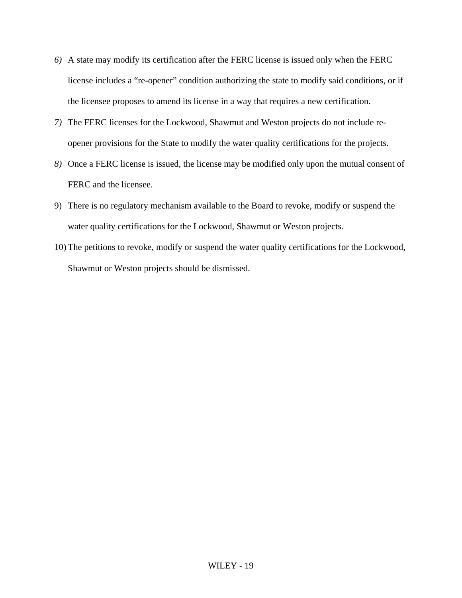- *6)* A state may modify its certification after the FERC license is issued only when the FERC license includes a "re-opener" condition authorizing the state to modify said conditions, or if the licensee proposes to amend its license in a way that requires a new certification.
- *7)* The FERC licenses for the Lockwood, Shawmut and Weston projects do not include reopener provisions for the State to modify the water quality certifications for the projects.
- *8)* Once a FERC license is issued, the license may be modified only upon the mutual consent of FERC and the licensee.
- 9) There is no regulatory mechanism available to the Board to revoke, modify or suspend the water quality certifications for the Lockwood, Shawmut or Weston projects.
- 10) The petitions to revoke, modify or suspend the water quality certifications for the Lockwood, Shawmut or Weston projects should be dismissed.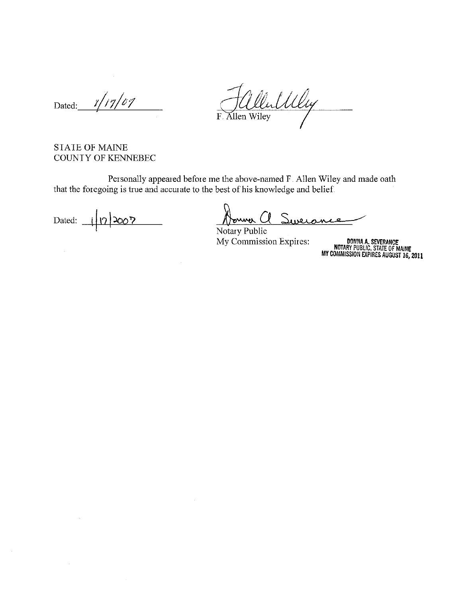$1/17/07$ Dated:

llullly F. Allen Wiley

**STATE OF MAINE** COUNTY OF KENNEBEC

Personally appeared before me the above-named F. Allen Wiley and made oath that the foregoing is true and accurate to the best of his knowledge and belief.

 $\sim$ 

Dated:  $122007$ 

 $\bar{\tau}_i$ 

 $\sim 10$ 

Norma Cl Sweignee

Notary Public My Commission Expires:

DONNA A. SEVERANCE<br>NOTARY PUBLIC, STATE OF MAINE<br>MY COMMISSION EXPIRES AUGUST 16, 2011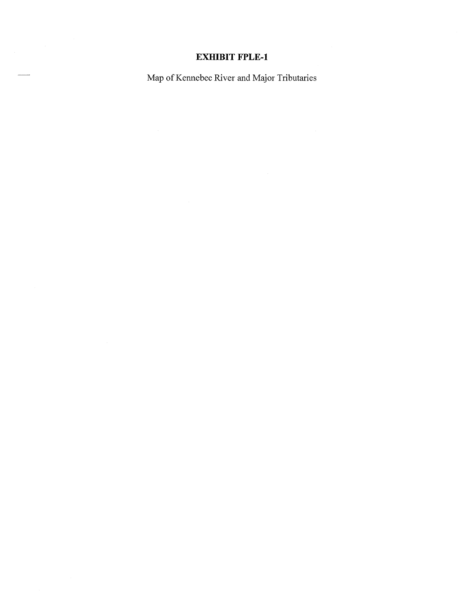# **EXHIBIT FPLE-1**

Map of Kennebec River and Major Tributaries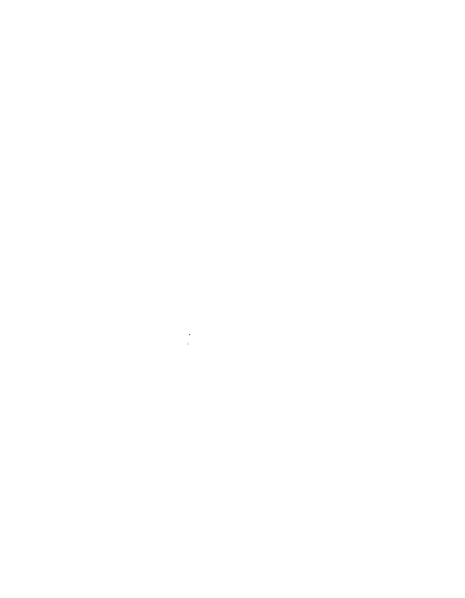$\label{eq:2.1} \frac{1}{\sqrt{2\pi}}\frac{1}{\sqrt{2\pi}}\sum_{i=1}^n\frac{1}{\sqrt{2\pi}}\left(\frac{1}{\sqrt{2\pi}}\sum_{i=1}^n\frac{1}{\sqrt{2\pi}}\sum_{i=1}^n\frac{1}{\sqrt{2\pi}}\right)\frac{1}{\sqrt{2\pi}}\frac{1}{\sqrt{2\pi}}\sum_{i=1}^n\frac{1}{\sqrt{2\pi}}\frac{1}{\sqrt{2\pi}}\frac{1}{\sqrt{2\pi}}\frac{1}{\sqrt{2\pi}}\frac{1}{\sqrt{2\pi}}\frac{1}{\sqrt{2\pi}}\frac{$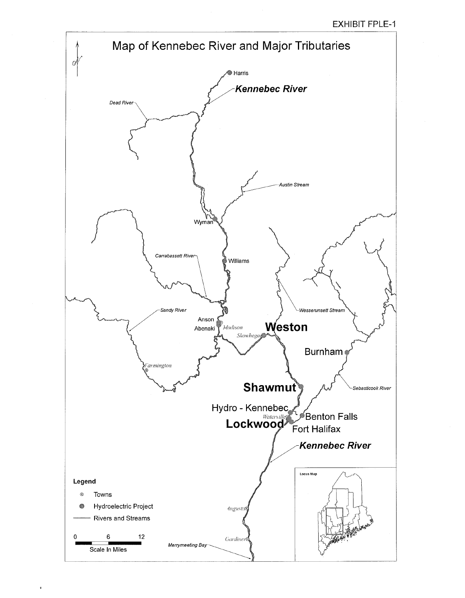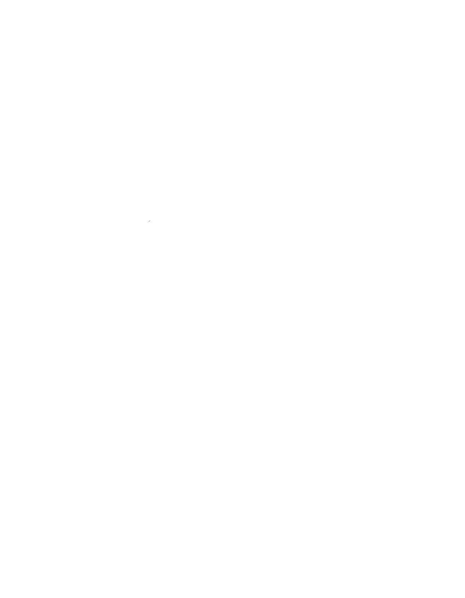$\label{eq:2.1} \frac{1}{\sqrt{2}}\int_{0}^{\infty}\frac{1}{\sqrt{2\pi}}\left(\frac{1}{\sqrt{2\pi}}\right)^{2\alpha} \frac{1}{\sqrt{2\pi}}\int_{0}^{\infty}\frac{1}{\sqrt{2\pi}}\left(\frac{1}{\sqrt{2\pi}}\right)^{\alpha} \frac{1}{\sqrt{2\pi}}\frac{1}{\sqrt{2\pi}}\int_{0}^{\infty}\frac{1}{\sqrt{2\pi}}\frac{1}{\sqrt{2\pi}}\frac{1}{\sqrt{2\pi}}\frac{1}{\sqrt{2\pi}}\frac{1}{\sqrt{2\pi}}\frac{1}{\sqrt{2\pi}}$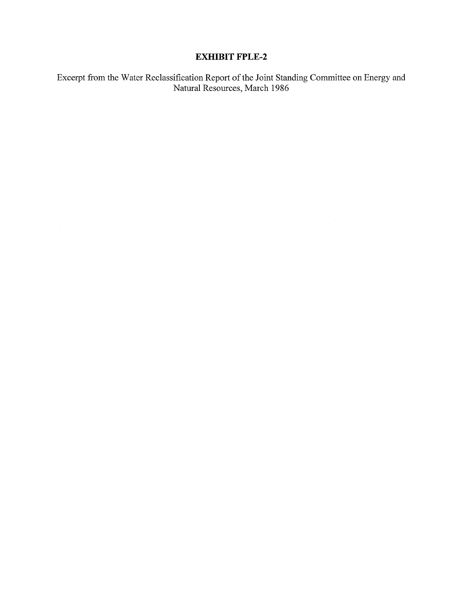# **EXHIBIT FPLE-2**

Excerpt from the Water Reclassification Report of the Joint Standing Committee on Energy and<br>Natural Resources, March 1986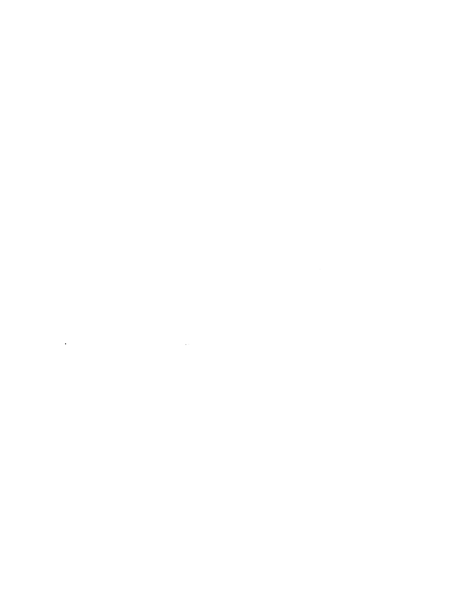$\label{eq:2.1} \mathcal{L}(\mathcal{L}(\mathcal{L})) = \mathcal{L}(\mathcal{L}(\mathcal{L})) = \mathcal{L}(\mathcal{L}(\mathcal{L})) = \mathcal{L}(\mathcal{L}(\mathcal{L})) = \mathcal{L}(\mathcal{L}(\mathcal{L}))$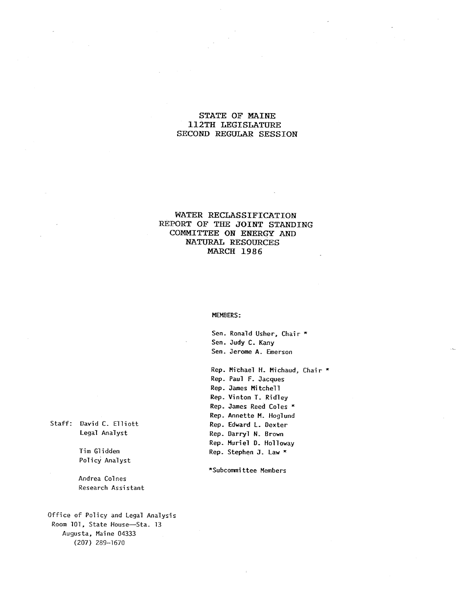#### STATE OF MAINE 112TH LEGISLATURE SECOND REGULAR SESSION

#### WATER RECLASSIFICATION REPORT OF THE JOINT STANDING COMMITTEE ON ENERGY AND NATURAL RESOURCES **MARCH 1986**

#### **MEMBERS:**

Sen. Ronald Usher, Chair \* Sen. Judy C. Kany Sen. Jerome A. Emerson

Rep. Michael H. Michaud, Chair \* Rep. Paul F. Jacques Rep. James Mitchell Rep. Vinton T. Ridley Rep. James Reed Coles \* Rep. Annette M. Hoglund Rep. Edward L. Dexter Rep. Darryl N. Brown Rep. Muriel D. Holloway Rep. Stephen J. Law \*

\*Subcommittee Members

Staff: David C. Elliott Legal Analyst

> Tim Glidden Policy Analyst

Andrea Colnes Research Assistant

Office of Policy and Legal Analysis Room 101, State House-Sta. 13 Augusta, Maine 04333  $(207)$  289-1670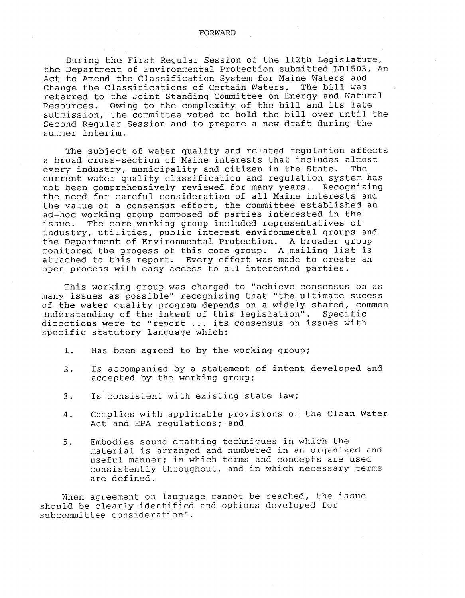#### FORWARD

During the First Regular Session of the 112th Legislature, the Department of Environmental Protection submitted LD1503, An Act to Amend the Classification System for Maine Waters and Change the Classifications of Certain Waters. The bill was referred to the Joint Standing Committee on Energy and Natural Resources. Owing to the complexity of the bill and its late submission, the committee voted to hold the bill over until the Second Regular Session and to prepare a new draft during the summer interim.

The subject of water quality and related regulation affects a broad cross-section of Maine interests that includes almost every industry, municipality and citizen in the State. The current water quality classification and regulation system has not been comprehensively reviewed for many years. Recognizing the need for careful consideration of all Maine interests and the value of a consensus effort, the committee established an ad-hoc working group composed of parties interested in the The core working group included representatives of issue. industry, utilities, public interest environmental groups and the Department of Environmental Protection. A broader group monitored the progess of this core group. A mailing list is attached to this report. Every effort was made to create an open process with easy access to all interested parties.

This working group was charged to "achieve consensus on as many issues as possible" recognizing that "the ultimate sucess of the water quality program depends on a widely shared, common understanding of the intent of this legislation". Specific directions were to "report ... its consensus on issues with specific statutory language which:

- $1.$ Has been agreed to by the working group;
- $2.1$ Is accompanied by a statement of intent developed and accepted by the working group;
- Is consistent with existing state law;  $3.$
- Complies with applicable provisions of the Clean Water  $4.$ Act and EPA regulations; and
- Embodies sound drafting techniques in which the  $5.$ material is arranged and numbered in an organized and useful manner; in which terms and concepts are used consistently throughout, and in which necessary terms are defined.

When agreement on language cannot be reached, the issue should be clearly identified and options developed for subcommittee consideration".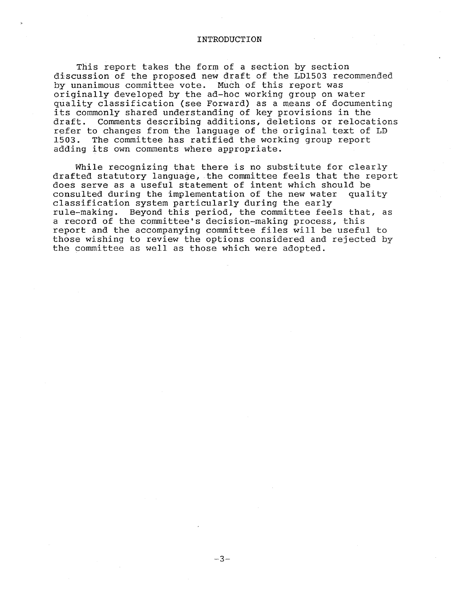#### INTRODUCTION

This report takes the form of a section by section discussion of the proposed new draft of the LD1503 recommended by unanimous committee vote. Much of this report was originally developed by the ad-hoc working group on water quality classification (see Forward) as a means of documenting its commonly shared understanding of key provisions in the Comments describing additions, deletions or relocations draft. refer to changes from the language of the original text of LD The committee has ratified the working group report 1503. adding its own comments where appropriate.

While recognizing that there is no substitute for clearly drafted statutory language, the committee feels that the report does serve as a useful statement of intent which should be consulted during the implementation of the new water quality classification system particularly during the early Beyond this period, the committee feels that, as rule-making. a record of the committee's decision-making process, this report and the accompanying committee files will be useful to those wishing to review the options considered and rejected by the committee as well as those which were adopted.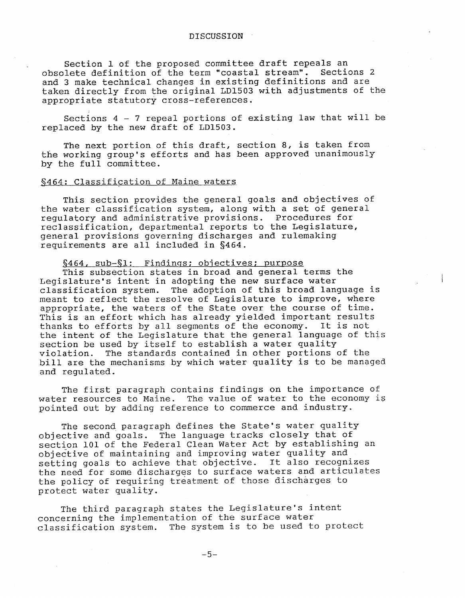#### **DISCUSSION**

Section 1 of the proposed committee draft repeals an obsolete definition of the term "coastal stream". Sections 2 and 3 make technical changes in existing definitions and are taken directly from the original LD1503 with adjustments of the appropriate statutory cross-references.

Sections  $4 - 7$  repeal portions of existing law that will be replaced by the new draft of LD1503.

The next portion of this draft, section 8, is taken from the working group's efforts and has been approved unanimously by the full committee.

#### §464: Classification of Maine waters

This section provides the general goals and objectives of the water classification system, along with a set of general regulatory and administrative provisions. Procedures for reclassification, departmental reports to the Legislature, general provisions governing discharges and rulemaking requirements are all included in \$464.

#### §464, sub-§1: Findings; objectives; purpose

This subsection states in broad and general terms the Legislature's intent in adopting the new surface water classification system. The adoption of this broad language is meant to reflect the resolve of Legislature to improve, where appropriate, the waters of the State over the course of time. This is an effort which has already yielded important results thanks to efforts by all segments of the economy. It is not the intent of the Legislature that the general language of this section be used by itself to establish a water quality The standards contained in other portions of the violation. bill are the mechanisms by which water quality is to be managed and requlated.

The first paragraph contains findings on the importance of water resources to Maine. The value of water to the economy is pointed out by adding reference to commerce and industry.

The second paragraph defines the State's water quality objective and goals. The language tracks closely that of section 101 of the Federal Clean Water Act by establishing an objective of maintaining and improving water quality and setting goals to achieve that objective. It also recognizes the need for some discharges to surface waters and articulates the policy of requiring treatment of those discharges to protect water quality.

The third paragraph states the Legislature's intent concerning the implementation of the surface water classification system. The system is to be used to protect